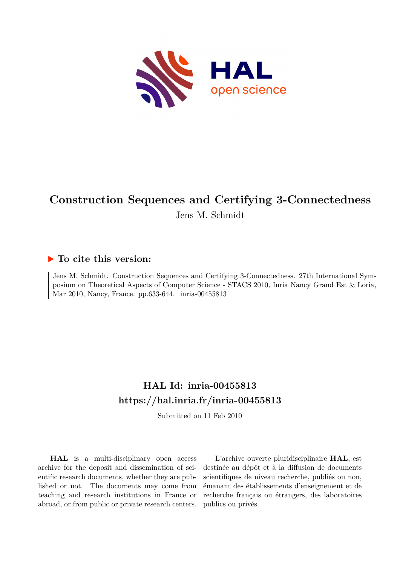

# **Construction Sequences and Certifying 3-Connectedness**

Jens M. Schmidt

# **To cite this version:**

Jens M. Schmidt. Construction Sequences and Certifying 3-Connectedness. 27th International Symposium on Theoretical Aspects of Computer Science - STACS 2010, Inria Nancy Grand Est & Loria, Mar 2010, Nancy, France. pp.633-644. inria-00455813

# **HAL Id: inria-00455813 <https://hal.inria.fr/inria-00455813>**

Submitted on 11 Feb 2010

**HAL** is a multi-disciplinary open access archive for the deposit and dissemination of scientific research documents, whether they are published or not. The documents may come from teaching and research institutions in France or abroad, or from public or private research centers.

L'archive ouverte pluridisciplinaire **HAL**, est destinée au dépôt et à la diffusion de documents scientifiques de niveau recherche, publiés ou non, émanant des établissements d'enseignement et de recherche français ou étrangers, des laboratoires publics ou privés.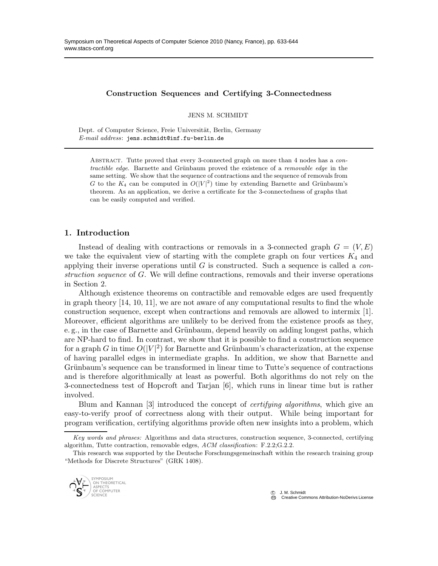#### Construction Sequences and Certifying 3-Connectedness

JENS M. SCHMIDT

Dept. of Computer Science, Freie Universität, Berlin, Germany *E-mail address*: jens.schmidt@inf.fu-berlin.de

Abstract. Tutte proved that every 3-connected graph on more than 4 nodes has a *contractible edge*. Barnette and Grünbaum proved the existence of a *removable edge* in the same setting. We show that the sequence of contractions and the sequence of removals from G to the  $K_4$  can be computed in  $O(|V|^2)$  time by extending Barnette and Grünbaum's theorem. As an application, we derive a certificate for the 3-connectedness of graphs that can be easily computed and verified.

#### 1. Introduction

Instead of dealing with contractions or removals in a 3-connected graph  $G = (V, E)$ we take the equivalent view of starting with the complete graph on four vertices  $K_4$  and applying their inverse operations until G is constructed. Such a sequence is called a *construction sequence* of G. We will define contractions, removals and their inverse operations in Section 2.

Although existence theorems on contractible and removable edges are used frequently in graph theory [14, 10, 11], we are not aware of any computational results to find the whole construction sequence, except when contractions and removals are allowed to intermix [1]. Moreover, efficient algorithms are unlikely to be derived from the existence proofs as they, e. g., in the case of Barnette and Grünbaum, depend heavily on adding longest paths, which are NP-hard to find. In contrast, we show that it is possible to find a construction sequence for a graph G in time  $O(|V|^2)$  for Barnette and Grünbaum's characterization, at the expense of having parallel edges in intermediate graphs. In addition, we show that Barnette and Grünbaum's sequence can be transformed in linear time to Tutte's sequence of contractions and is therefore algorithmically at least as powerful. Both algorithms do not rely on the 3-connectedness test of Hopcroft and Tarjan [6], which runs in linear time but is rather involved.

Blum and Kannan [3] introduced the concept of *certifying algorithms*, which give an easy-to-verify proof of correctness along with their output. While being important for program verification, certifying algorithms provide often new insights into a problem, which

This research was supported by the Deutsche Forschungsgemeinschaft within the research training group "Methods for Discrete Structures" (GRK 1408).



*Key words and phrases:* Algorithms and data structures, construction sequence, 3-connected, certifying algorithm, Tutte contraction, removable edges, *ACM classification*: F.2.2;G.2.2.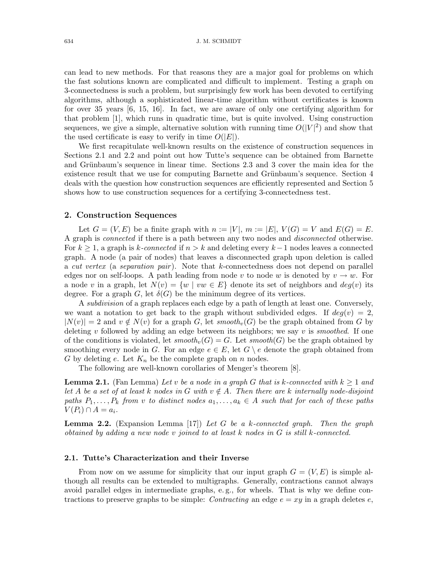can lead to new methods. For that reasons they are a major goal for problems on which the fast solutions known are complicated and difficult to implement. Testing a graph on 3-connectedness is such a problem, but surprisingly few work has been devoted to certifying algorithms, although a sophisticated linear-time algorithm without certificates is known for over 35 years [6, 15, 16]. In fact, we are aware of only one certifying algorithm for that problem [1], which runs in quadratic time, but is quite involved. Using construction sequences, we give a simple, alternative solution with running time  $O(|V|^2)$  and show that the used certificate is easy to verify in time  $O(|E|)$ .

We first recapitulate well-known results on the existence of construction sequences in Sections 2.1 and 2.2 and point out how Tutte's sequence can be obtained from Barnette and Grünbaum's sequence in linear time. Sections 2.3 and 3 cover the main idea for the existence result that we use for computing Barnette and Grünbaum's sequence. Section 4 deals with the question how construction sequences are efficiently represented and Section 5 shows how to use construction sequences for a certifying 3-connectedness test.

#### 2. Construction Sequences

Let  $G = (V, E)$  be a finite graph with  $n := |V|$ ,  $m := |E|$ ,  $V(G) = V$  and  $E(G) = E$ . A graph is *connected* if there is a path between any two nodes and *disconnected* otherwise. For k ≥ 1, a graph is k*-connected* if n > k and deleting every k−1 nodes leaves a connected graph. A node (a pair of nodes) that leaves a disconnected graph upon deletion is called a *cut vertex* (a *separation pair* ). Note that k-connectedness does not depend on parallel edges nor on self-loops. A path leading from node v to node w is denoted by  $v \to w$ . For a node v in a graph, let  $N(v) = \{w \mid vw \in E\}$  denote its set of neighbors and  $deg(v)$  its degree. For a graph G, let  $\delta(G)$  be the minimum degree of its vertices.

A *subdivision* of a graph replaces each edge by a path of length at least one. Conversely, we want a notation to get back to the graph without subdivided edges. If  $deg(v) = 2$ ,  $|N(v)| = 2$  and  $v \notin N(v)$  for a graph G, let *smooth<sub>v</sub>*(G) be the graph obtained from G by deleting v followed by adding an edge between its neighbors; we say v is *smoothed*. If one of the conditions is violated, let  $smooth<sub>v</sub>(G) = G$ . Let  $smooth(G)$  be the graph obtained by smoothing every node in G. For an edge  $e \in E$ , let  $G \setminus e$  denote the graph obtained from G by deleting e. Let  $K_n$  be the complete graph on n nodes.

The following are well-known corollaries of Menger's theorem [8].

**Lemma 2.1.** (Fan Lemma) Let v be a node in a graph G that is k-connected with  $k \geq 1$  and *let* A *be a set of at least* k nodes in G with  $v \notin A$ . Then there are k internally node-disjoint *paths*  $P_1, \ldots, P_k$  *from* v *to distinct nodes*  $a_1, \ldots, a_k \in A$  *such that for each of these paths*  $V(P_i) \cap A = a_i.$ 

Lemma 2.2. (Expansion Lemma [17]) *Let* G *be a* k*-connected graph. Then the graph obtained by adding a new node* v *joined to at least* k *nodes in* G *is still* k*-connected.*

#### 2.1. Tutte's Characterization and their Inverse

From now on we assume for simplicity that our input graph  $G = (V, E)$  is simple although all results can be extended to multigraphs. Generally, contractions cannot always avoid parallel edges in intermediate graphs, e. g., for wheels. That is why we define contractions to preserve graphs to be simple: *Contracting* an edge  $e = xy$  in a graph deletes e,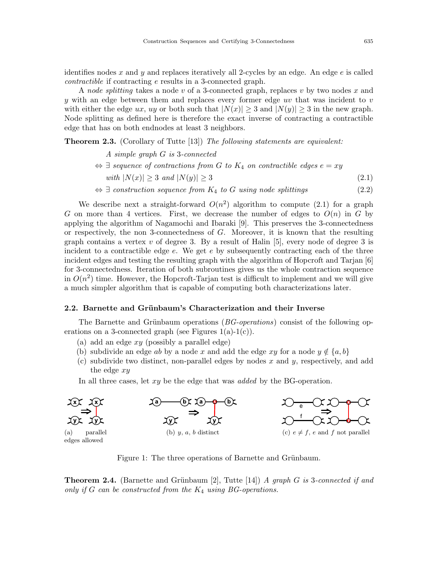identifies nodes x and y and replaces iteratively all 2-cycles by an edge. An edge  $e$  is called *contractible* if contracting e results in a 3-connected graph.

A *node splitting* takes a node v of a 3-connected graph, replaces v by two nodes x and y with an edge between them and replaces every former edge uv that was incident to  $v$ with either the edge ux, uy or both such that  $|N(x)| \geq 3$  and  $|N(y)| \geq 3$  in the new graph. Node splitting as defined here is therefore the exact inverse of contracting a contractible edge that has on both endnodes at least 3 neighbors.

Theorem 2.3. (Corollary of Tutte [13]) *The following statements are equivalent:*

*A simple graph* G *is* 3*-connected*

- $\Leftrightarrow$   $\exists$  *sequence of contractions from G to*  $K_4$  *on contractible edges*  $e = xy$ *with*  $|N(x)| > 3$  *and*  $|N(y)| > 3$  (2.1)
- $\Leftrightarrow$   $\exists$  *construction sequence from*  $K_4$  *to*  $G$  *using node splittings* (2.2)

We describe next a straight-forward  $O(n^2)$  algorithm to compute (2.1) for a graph G on more than 4 vertices. First, we decrease the number of edges to  $O(n)$  in G by applying the algorithm of Nagamochi and Ibaraki [9]. This preserves the 3-connectedness or respectively, the non 3-connectedness of G. Moreover, it is known that the resulting graph contains a vertex v of degree 3. By a result of Halin  $[5]$ , every node of degree 3 is incident to a contractible edge  $e$ . We get  $e$  by subsequently contracting each of the three incident edges and testing the resulting graph with the algorithm of Hopcroft and Tarjan [6] for 3-connectedness. Iteration of both subroutines gives us the whole contraction sequence in  $O(n^2)$  time. However, the Hopcroft-Tarjan test is difficult to implement and we will give a much simpler algorithm that is capable of computing both characterizations later.

## 2.2. Barnette and Grünbaum's Characterization and their Inverse

The Barnette and Grünbaum operations (*BG-operations*) consist of the following operations on a 3-connected graph (see Figures  $1(a)-1(c)$ ).

- (a) add an edge  $xy$  (possibly a parallel edge)
- (b) subdivide an edge ab by a node x and add the edge xy for a node  $y \notin \{a, b\}$
- (c) subdivide two distinct, non-parallel edges by nodes  $x$  and  $y$ , respectively, and add the edge  $xy$

In all three cases, let xy be the edge that was *added* by the BG-operation.



Figure 1: The three operations of Barnette and Grünbaum.

**Theorem 2.4.** (Barnette and Grünbaum [2], Tutte [14]) *A graph G is* 3-connected if and *only if* G *can be constructed from the* K<sup>4</sup> *using BG-operations.*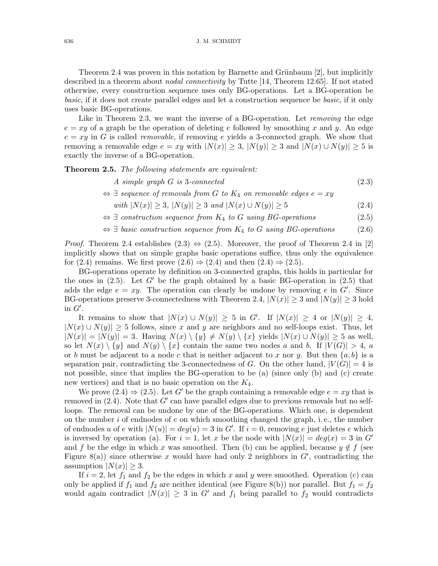Theorem 2.4 was proven in this notation by Barnette and Grünbaum  $[2]$ , but implicitly described in a theorem about *nodal connectivity* by Tutte [14, Theorem 12.65]. If not stated otherwise, every construction sequence uses only BG-operations. Let a BG-operation be *basic*, if it does not create parallel edges and let a construction sequence be *basic*, if it only uses basic BG-operations.

Like in Theorem 2.3, we want the inverse of a BG-operation. Let *removing* the edge  $e = xy$  of a graph be the operation of deleting e followed by smoothing x and y. An edge  $e = xy$  in G is called *removable*, if removing e yields a 3-connected graph. We show that removing a removable edge  $e = xy$  with  $|N(x)| \geq 3$ ,  $|N(y)| \geq 3$  and  $|N(x) \cup N(y)| \geq 5$  is exactly the inverse of a BG-operation.

Theorem 2.5. *The following statements are equivalent:*

- *A simple graph* G *is* 3*-connected* (2.3)
- $\Leftrightarrow$   $\exists$  *sequence of removals from G to*  $K_4$  *on removable edges*  $e = xy$

*with*  $|N(x)| \ge 3$ *,*  $|N(y)| \ge 3$  *and*  $|N(x) \cup N(y)| \ge 5$  (2.4)

- ⇔ ∃ *construction sequence from* K<sup>4</sup> *to* G *using BG-operations* (2.5)
- ⇔ ∃ *basic construction sequence from* K<sup>4</sup> *to* G *using BG-operations* (2.6)

*Proof.* Theorem 2.4 establishes  $(2.3) \Leftrightarrow (2.5)$ . Moreover, the proof of Theorem 2.4 in [2] implicitly shows that on simple graphs basic operations suffice, thus only the equivalence for (2.4) remains. We first prove  $(2.6) \Rightarrow (2.4)$  and then  $(2.4) \Rightarrow (2.5)$ .

BG-operations operate by definition on 3-connected graphs, this holds in particular for the ones in  $(2.5)$ . Let G' be the graph obtained by a basic BG-operation in  $(2.5)$  that adds the edge  $e = xy$ . The operation can clearly be undone by removing e in  $G'$ . Since BG-operations preserve 3-connectedness with Theorem 2.4,  $|N(x)| \geq 3$  and  $|N(y)| \geq 3$  hold in  $G'$ .

It remains to show that  $|N(x) \cup N(y)| \geq 5$  in G'. If  $|N(x)| \geq 4$  or  $|N(y)| \geq 4$ ,  $|N(x) \cup N(y)| \geq 5$  follows, since x and y are neighbors and no self-loops exist. Thus, let  $|N(x)| = |N(y)| = 3$ . Having  $N(x) \setminus \{y\} \neq N(y) \setminus \{x\}$  yields  $|N(x) \cup N(y)| \geq 5$  as well, so let  $N(x) \setminus \{y\}$  and  $N(y) \setminus \{x\}$  contain the same two nodes a and b. If  $|V(G)| > 4$ , a or b must be adjacent to a node c that is neither adjacent to x nor y. But then  $\{a, b\}$  is a separation pair, contradicting the 3-connectedness of G. On the other hand,  $|V(G)| = 4$  is not possible, since that implies the BG-operation to be (a) (since only (b) and (c) create new vertices) and that is no basic operation on the  $K_4$ .

We prove  $(2.4) \Rightarrow (2.5)$ . Let G' be the graph containing a removable edge  $e = xy$  that is removed in  $(2.4)$ . Note that G' can have parallel edges due to previous removals but no selfloops. The removal can be undone by one of the BG-operations. Which one, is dependent on the number  $i$  of endnodes of  $e$  on which smoothing changed the graph, i.e., the number of endnodes u of e with  $|N(u)| = deg(u) = 3$  in G'. If  $i = 0$ , removing e just deletes e which is inversed by operation (a). For  $i = 1$ , let x be the node with  $|N(x)| = deg(x) = 3$  in G' and f be the edge in which x was smoothed. Then (b) can be applied, because  $y \notin f$  (see Figure 8(a)) since otherwise x would have had only 2 neighbors in  $G'$ , contradicting the assumption  $|N(x)| \geq 3$ .

If  $i = 2$ , let  $f_1$  and  $f_2$  be the edges in which x and y were smoothed. Operation (c) can only be applied if  $f_1$  and  $f_2$  are neither identical (see Figure 8(b)) nor parallel. But  $f_1 = f_2$ would again contradict  $|N(x)| \geq 3$  in G' and  $f_1$  being parallel to  $f_2$  would contradicts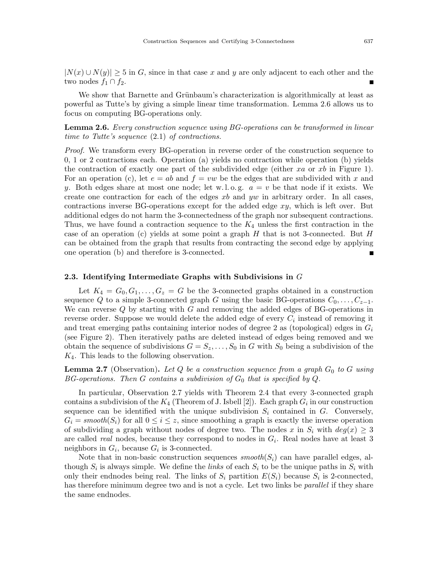$|N(x) \cup N(y)| \geq 5$  in G, since in that case x and y are only adjacent to each other and the two nodes  $f_1 \cap f_2$ .

We show that Barnette and Grünbaum's characterization is algorithmically at least as powerful as Tutte's by giving a simple linear time transformation. Lemma 2.6 allows us to focus on computing BG-operations only.

Lemma 2.6. *Every construction sequence using BG-operations can be transformed in linear time to Tutte's sequence* (2.1) *of contractions.*

*Proof.* We transform every BG-operation in reverse order of the construction sequence to 0, 1 or 2 contractions each. Operation (a) yields no contraction while operation (b) yields the contraction of exactly one part of the subdivided edge (either  $xa$  or  $xb$  in Figure 1). For an operation (c), let  $e = ab$  and  $f = vw$  be the edges that are subdivided with x and y. Both edges share at most one node; let w.l.o.g.  $a = v$  be that node if it exists. We create one contraction for each of the edges  $xb$  and  $yw$  in arbitrary order. In all cases, contractions inverse BG-operations except for the added edge  $xy$ , which is left over. But additional edges do not harm the 3-connectedness of the graph nor subsequent contractions. Thus, we have found a contraction sequence to the  $K_4$  unless the first contraction in the case of an operation (c) yields at some point a graph  $H$  that is not 3-connected. But  $H$ can be obtained from the graph that results from contracting the second edge by applying one operation (b) and therefore is 3-connected.  $\blacksquare$ 

#### 2.3. Identifying Intermediate Graphs with Subdivisions in G

Let  $K_4 = G_0, G_1, \ldots, G_z = G$  be the 3-connected graphs obtained in a construction sequence Q to a simple 3-connected graph G using the basic BG-operations  $C_0, \ldots, C_{z-1}$ . We can reverse  $Q$  by starting with  $G$  and removing the added edges of BG-operations in reverse order. Suppose we would delete the added edge of every  $C_i$  instead of removing it and treat emerging paths containing interior nodes of degree 2 as (topological) edges in  $G_i$ (see Figure 2). Then iteratively paths are deleted instead of edges being removed and we obtain the sequence of subdivisions  $G = S_z, \ldots, S_0$  in G with  $S_0$  being a subdivision of the  $K_4$ . This leads to the following observation.

**Lemma 2.7** (Observation). Let Q be a construction sequence from a graph  $G_0$  to G using *BG-operations. Then G contains a subdivision of*  $G_0$  *that is specified by*  $Q$ *.* 

In particular, Observation 2.7 yields with Theorem 2.4 that every 3-connected graph contains a subdivision of the  $K_4$  (Theorem of J. Isbell [2]). Each graph  $G_i$  in our construction sequence can be identified with the unique subdivision  $S_i$  contained in  $G$ . Conversely,  $G_i = \text{smooth}(S_i)$  for all  $0 \leq i \leq z$ , since smoothing a graph is exactly the inverse operation of subdividing a graph without nodes of degree two. The nodes x in  $S_i$  with  $deg(x) \geq 3$ are called *real* nodes, because they correspond to nodes in  $G_i$ . Real nodes have at least 3 neighbors in  $G_i$ , because  $G_i$  is 3-connected.

Note that in non-basic construction sequences  $smooth(S_i)$  can have parallel edges, although  $S_i$  is always simple. We define the *links* of each  $S_i$  to be the unique paths in  $S_i$  with only their endnodes being real. The links of  $S_i$  partition  $E(S_i)$  because  $S_i$  is 2-connected, has therefore minimum degree two and is not a cycle. Let two links be *parallel* if they share the same endnodes.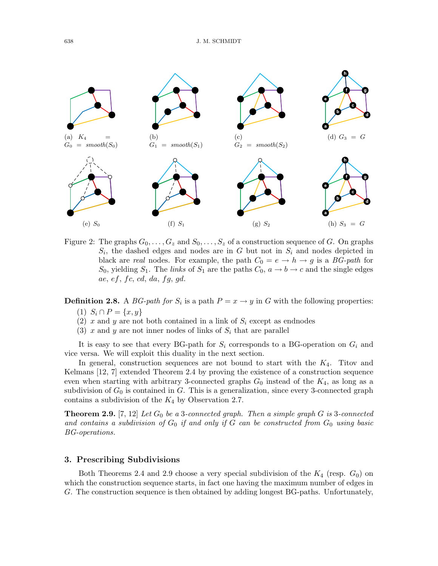

Figure 2: The graphs  $G_0, \ldots, G_z$  and  $S_0, \ldots, S_z$  of a construction sequence of G. On graphs  $S_i$ , the dashed edges and nodes are in G but not in  $S_i$  and nodes depicted in black are *real* nodes. For example, the path  $C_0 = e \rightarrow h \rightarrow g$  is a *BG-path* for  $S_0$ , yielding  $S_1$ . The *links* of  $S_1$  are the paths  $C_0$ ,  $a \rightarrow b \rightarrow c$  and the single edges ae,  $ef, fc, cd, da, fg, gd.$ 

**Definition 2.8.** A *BG-path for*  $S_i$  is a path  $P = x \rightarrow y$  in *G* with the following properties:

- (1)  $S_i \cap P = \{x, y\}$
- (2)  $x$  and  $y$  are not both contained in a link of  $S_i$  except as endnodes
- (3) x and y are not inner nodes of links of  $S_i$  that are parallel

It is easy to see that every BG-path for  $S_i$  corresponds to a BG-operation on  $G_i$  and vice versa. We will exploit this duality in the next section.

In general, construction sequences are not bound to start with the  $K_4$ . Titov and Kelmans [12, 7] extended Theorem 2.4 by proving the existence of a construction sequence even when starting with arbitrary 3-connected graphs  $G_0$  instead of the  $K_4$ , as long as a subdivision of  $G_0$  is contained in G. This is a generalization, since every 3-connected graph contains a subdivision of the  $K_4$  by Observation 2.7.

**Theorem 2.9.** [7, 12] Let  $G_0$  be a 3-connected graph. Then a simple graph  $G$  is 3-connected and contains a subdivision of  $G_0$  if and only if  $G$  can be constructed from  $G_0$  using basic *BG-operations.*

### 3. Prescribing Subdivisions

Both Theorems 2.4 and 2.9 choose a very special subdivision of the  $K_4$  (resp.  $G_0$ ) on which the construction sequence starts, in fact one having the maximum number of edges in G. The construction sequence is then obtained by adding longest BG-paths. Unfortunately,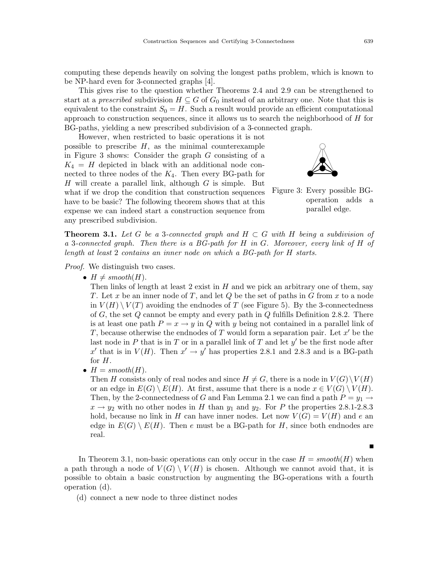computing these depends heavily on solving the longest paths problem, which is known to be NP-hard even for 3-connected graphs [4].

This gives rise to the question whether Theorems 2.4 and 2.9 can be strengthened to start at a *prescribed* subdivision  $H \subseteq G$  of  $G_0$  instead of an arbitrary one. Note that this is equivalent to the constraint  $S_0 = H$ . Such a result would provide an efficient computational approach to construction sequences, since it allows us to search the neighborhood of H for BG-paths, yielding a new prescribed subdivision of a 3-connected graph.

However, when restricted to basic operations it is not possible to prescribe  $H$ , as the minimal counterexample in Figure 3 shows: Consider the graph G consisting of a  $K_4 = H$  depicted in black with an additional node connected to three nodes of the  $K_4$ . Then every BG-path for  $H$  will create a parallel link, although  $G$  is simple. But what if we drop the condition that construction sequences have to be basic? The following theorem shows that at this expense we can indeed start a construction sequence from any prescribed subdivision.



Figure 3: Every possible BGoperation adds a parallel edge.

**Theorem 3.1.** Let G be a 3-connected graph and  $H \subset G$  with H being a subdivision of *a* 3*-connected graph. Then there is a BG-path for* H *in* G*. Moreover, every link of* H *of length at least* 2 *contains an inner node on which a BG-path for* H *starts.*

*Proof.* We distinguish two cases.

•  $H \neq smooth(H)$ .

Then links of length at least 2 exist in  $H$  and we pick an arbitrary one of them, say T. Let x be an inner node of T, and let Q be the set of paths in G from x to a node in  $V(H) \setminus V(T)$  avoiding the endnodes of T (see Figure 5). By the 3-connectedness of  $G$ , the set  $Q$  cannot be empty and every path in  $Q$  fulfills Definition 2.8.2. There is at least one path  $P = x \rightarrow y$  in Q with y being not contained in a parallel link of T, because otherwise the endnodes of T would form a separation pair. Let  $x'$  be the last node in P that is in T or in a parallel link of T and let  $y'$  be the first node after x' that is in  $V(H)$ . Then  $x' \rightarrow y'$  has properties 2.8.1 and 2.8.3 and is a BG-path for H.

•  $H = smooth(H)$ .

Then H consists only of real nodes and since  $H \neq G$ , there is a node in  $V(G)\setminus V(H)$ or an edge in  $E(G) \setminus E(H)$ . At first, assume that there is a node  $x \in V(G) \setminus V(H)$ . Then, by the 2-connectedness of G and Fan Lemma 2.1 we can find a path  $P = y_1 \rightarrow$  $x \rightarrow y_2$  with no other nodes in H than  $y_1$  and  $y_2$ . For P the properties 2.8.1-2.8.3 hold, because no link in H can have inner nodes. Let now  $V(G) = V(H)$  and e an edge in  $E(G) \setminus E(H)$ . Then e must be a BG-path for H, since both endnodes are real.

In Theorem 3.1, non-basic operations can only occur in the case  $H = smooth(H)$  when a path through a node of  $V(G) \setminus V(H)$  is chosen. Although we cannot avoid that, it is possible to obtain a basic construction by augmenting the BG-operations with a fourth operation (d).

(d) connect a new node to three distinct nodes

 $\blacksquare$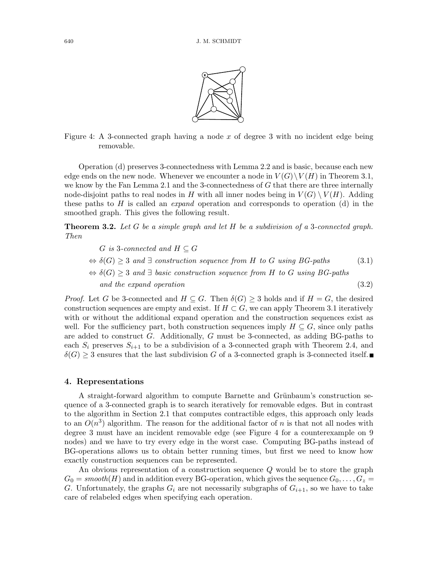

Figure 4: A 3-connected graph having a node  $x$  of degree 3 with no incident edge being removable.

Operation (d) preserves 3-connectedness with Lemma 2.2 and is basic, because each new edge ends on the new node. Whenever we encounter a node in  $V(G)\backslash V(H)$  in Theorem 3.1, we know by the Fan Lemma 2.1 and the 3-connectedness of  $G$  that there are three internally node-disjoint paths to real nodes in H with all inner nodes being in  $V(G) \setminus V(H)$ . Adding these paths to H is called an *expand* operation and corresponds to operation (d) in the smoothed graph. This gives the following result.

Theorem 3.2. *Let* G *be a simple graph and let* H *be a subdivision of a* 3*-connected graph. Then*

$$
G \text{ is 3-connected and } H \subseteq G
$$
  
\n
$$
\Leftrightarrow \delta(G) \geq 3 \text{ and } \exists \text{ construction sequence from } H \text{ to } G \text{ using } BG\text{-paths}
$$
  
\n
$$
\Leftrightarrow \delta(G) \geq 3 \text{ and } \exists \text{ basic construction sequence from } H \text{ to } G \text{ using } BG\text{-paths}
$$
  
\nand the expand operation (3.2)

*Proof.* Let G be 3-connected and  $H \subseteq G$ . Then  $\delta(G) \geq 3$  holds and if  $H = G$ , the desired construction sequences are empty and exist. If  $H \subset G$ , we can apply Theorem 3.1 iteratively with or without the additional expand operation and the construction sequences exist as well. For the sufficiency part, both construction sequences imply  $H \subseteq G$ , since only paths are added to construct  $G$ . Additionally,  $G$  must be 3-connected, as adding BG-paths to each  $S_i$  preserves  $S_{i+1}$  to be a subdivision of a 3-connected graph with Theorem 2.4, and  $\delta(G) \geq 3$  ensures that the last subdivision G of a 3-connected graph is 3-connected itself.

### 4. Representations

A straight-forward algorithm to compute Barnette and Grünbaum's construction sequence of a 3-connected graph is to search iteratively for removable edges. But in contrast to the algorithm in Section 2.1 that computes contractible edges, this approach only leads to an  $O(n^3)$  algorithm. The reason for the additional factor of n is that not all nodes with degree 3 must have an incident removable edge (see Figure 4 for a counterexample on 9 nodes) and we have to try every edge in the worst case. Computing BG-paths instead of BG-operations allows us to obtain better running times, but first we need to know how exactly construction sequences can be represented.

An obvious representation of a construction sequence Q would be to store the graph  $G_0 = smooth(H)$  and in addition every BG-operation, which gives the sequence  $G_0, \ldots, G_z =$ G. Unfortunately, the graphs  $G_i$  are not necessarily subgraphs of  $G_{i+1}$ , so we have to take care of relabeled edges when specifying each operation.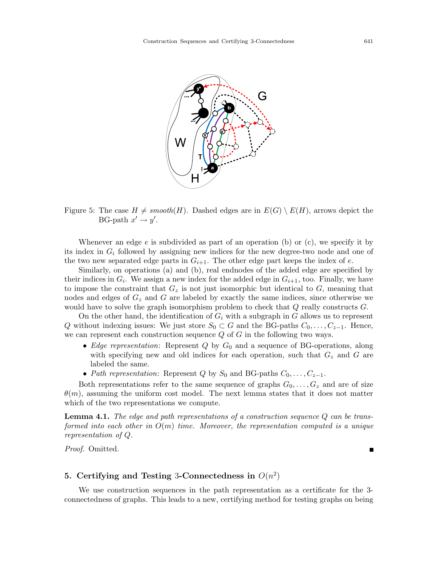

Figure 5: The case  $H \neq smooth(H)$ . Dashed edges are in  $E(G) \setminus E(H)$ , arrows depict the BG-path  $x' \rightarrow y'$ .

Whenever an edge  $e$  is subdivided as part of an operation (b) or (c), we specify it by its index in  $G_i$  followed by assigning new indices for the new degree-two node and one of the two new separated edge parts in  $G_{i+1}$ . The other edge part keeps the index of e.

Similarly, on operations (a) and (b), real endnodes of the added edge are specified by their indices in  $G_i$ . We assign a new index for the added edge in  $G_{i+1}$ , too. Finally, we have to impose the constraint that  $G<sub>z</sub>$  is not just isomorphic but identical to  $G$ , meaning that nodes and edges of  $G<sub>z</sub>$  and G are labeled by exactly the same indices, since otherwise we would have to solve the graph isomorphism problem to check that  $Q$  really constructs  $G$ .

On the other hand, the identification of  $G_i$  with a subgraph in G allows us to represent Q without indexing issues: We just store  $S_0 \subset G$  and the BG-paths  $C_0, \ldots, C_{z-1}$ . Hence, we can represent each construction sequence  $Q$  of  $G$  in the following two ways.

- *Edge representation*: Represent  $Q$  by  $G_0$  and a sequence of BG-operations, along with specifying new and old indices for each operation, such that  $G<sub>z</sub>$  and G are labeled the same.
- *Path representation*: Represent Q by  $S_0$  and BG-paths  $C_0, \ldots, C_{z-1}$ .

Both representations refer to the same sequence of graphs  $G_0, \ldots, G_z$  and are of size  $\theta(m)$ , assuming the uniform cost model. The next lemma states that it does not matter which of the two representations we compute.

Lemma 4.1. *The edge and path representations of a construction sequence* Q *can be transformed into each other in* O(m) *time. Moreover, the representation computed is a unique representation of* Q*.*

*Proof.* Omitted.

## 5. Certifying and Testing 3-Connectedness in  $O(n^2)$

We use construction sequences in the path representation as a certificate for the 3 connectedness of graphs. This leads to a new, certifying method for testing graphs on being

П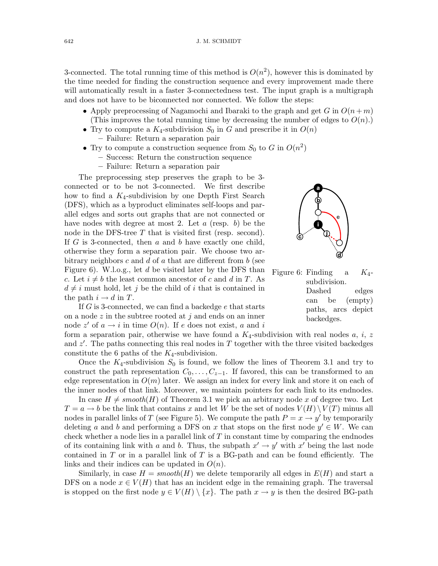3-connected. The total running time of this method is  $O(n^2)$ , however this is dominated by the time needed for finding the construction sequence and every improvement made there will automatically result in a faster 3-connectedness test. The input graph is a multigraph and does not have to be biconnected nor connected. We follow the steps:

- Apply preprocessing of Nagamochi and Ibaraki to the graph and get G in  $O(n+m)$ (This improves the total running time by decreasing the number of edges to  $O(n)$ .)
- Try to compute a  $K_4$ -subdivision  $S_0$  in G and prescribe it in  $O(n)$ – Failure: Return a separation pair
- Try to compute a construction sequence from  $S_0$  to G in  $O(n^2)$ 
	- Success: Return the construction sequence
	- Failure: Return a separation pair

The preprocessing step preserves the graph to be 3 connected or to be not 3-connected. We first describe how to find a  $K_4$ -subdivision by one Depth First Search (DFS), which as a byproduct eliminates self-loops and parallel edges and sorts out graphs that are not connected or have nodes with degree at most 2. Let  $a$  (resp.  $b$ ) be the node in the DFS-tree T that is visited first (resp. second). If  $G$  is 3-connected, then  $a$  and  $b$  have exactly one child, otherwise they form a separation pair. We choose two arbitrary neighbors c and d of a that are different from  $b$  (see Figure 6). W.l.o.g., let d be visited later by the DFS than c. Let  $i \neq b$  the least common ancestor of c and d in T. As  $d \neq i$  must hold, let j be the child of i that is contained in the path  $i \to d$  in T.

If G is 3-connected, we can find a backedge e that starts on a node  $z$  in the subtree rooted at  $j$  and ends on an inner node z' of  $a \to i$  in time  $O(n)$ . If e does not exist, a and i

form a separation pair, otherwise we have found a  $K_4$ -subdivision with real nodes a, i, z and  $z'$ . The paths connecting this real nodes in T together with the three visited backedges constitute the 6 paths of the  $K_4$ -subdivision.

Once the  $K_4$ -subdivision  $S_0$  is found, we follow the lines of Theorem 3.1 and try to construct the path representation  $C_0, \ldots, C_{z-1}$ . If favored, this can be transformed to an edge representation in  $O(m)$  later. We assign an index for every link and store it on each of the inner nodes of that link. Moreover, we maintain pointers for each link to its endnodes.

In case  $H \neq smooth(H)$  of Theorem 3.1 we pick an arbitrary node x of degree two. Let  $T = a \rightarrow b$  be the link that contains x and let W be the set of nodes  $V(H) \setminus V(T)$  minus all nodes in parallel links of T (see Figure 5). We compute the path  $P = x \rightarrow y'$  by temporarily deleting a and b and performing a DFS on x that stops on the first node  $y' \in W$ . We can check whether a node lies in a parallel link of  $T$  in constant time by comparing the endnodes of its containing link with a and b. Thus, the subpath  $x' \to y'$  with  $x'$  being the last node contained in  $T$  or in a parallel link of  $T$  is a BG-path and can be found efficiently. The links and their indices can be updated in  $O(n)$ .

Similarly, in case  $H = smooth(H)$  we delete temporarily all edges in  $E(H)$  and start a DFS on a node  $x \in V(H)$  that has an incident edge in the remaining graph. The traversal is stopped on the first node  $y \in V(H) \setminus \{x\}$ . The path  $x \to y$  is then the desired BG-path



Figure 6: Finding a  $K_4$ subdivision. Dashed edges can be (empty) paths, arcs depict backedges.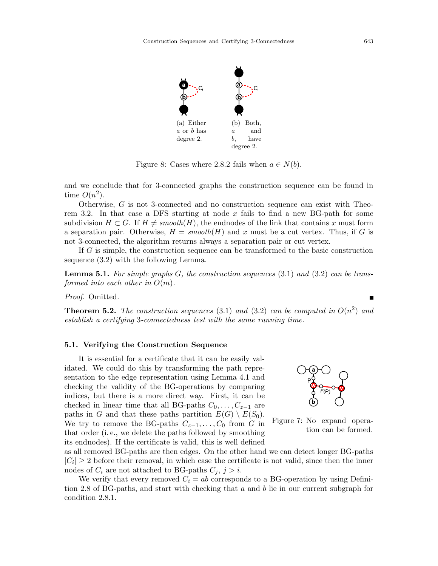

Figure 8: Cases where 2.8.2 fails when  $a \in N(b)$ .

and we conclude that for 3-connected graphs the construction sequence can be found in time  $O(n^2)$ .

Otherwise, G is not 3-connected and no construction sequence can exist with Theorem 3.2. In that case a DFS starting at node  $x$  fails to find a new BG-path for some subdivision  $H \subset G$ . If  $H \neq smooth(H)$ , the endnodes of the link that contains x must form a separation pair. Otherwise,  $H = smooth(H)$  and x must be a cut vertex. Thus, if G is not 3-connected, the algorithm returns always a separation pair or cut vertex.

If G is simple, the construction sequence can be transformed to the basic construction sequence (3.2) with the following Lemma.

Lemma 5.1. *For simple graphs* G*, the construction sequences* (3.1) *and* (3.2) *can be transformed into each other in* O(m)*.*

*Proof.* Omitted.

**Theorem 5.2.** The construction sequences (3.1) and (3.2) can be computed in  $O(n^2)$  and *establish a certifying* 3*-connectedness test with the same running time.*

#### 5.1. Verifying the Construction Sequence

It is essential for a certificate that it can be easily validated. We could do this by transforming the path representation to the edge representation using Lemma 4.1 and checking the validity of the BG-operations by comparing indices, but there is a more direct way. First, it can be checked in linear time that all BG-paths  $C_0, \ldots, C_{z-1}$  are paths in G and that these paths partition  $E(G) \setminus E(S_0)$ . We try to remove the BG-paths  $C_{z-1}, \ldots, C_0$  from G in that order (i. e., we delete the paths followed by smoothing its endnodes). If the certificate is valid, this is well defined





as all removed BG-paths are then edges. On the other hand we can detect longer BG-paths  $|C_i| \geq 2$  before their removal, in which case the certificate is not valid, since then the inner nodes of  $C_i$  are not attached to BG-paths  $C_j$ ,  $j > i$ .

We verify that every removed  $C_i = ab$  corresponds to a BG-operation by using Definition 2.8 of BG-paths, and start with checking that a and b lie in our current subgraph for condition 2.8.1.